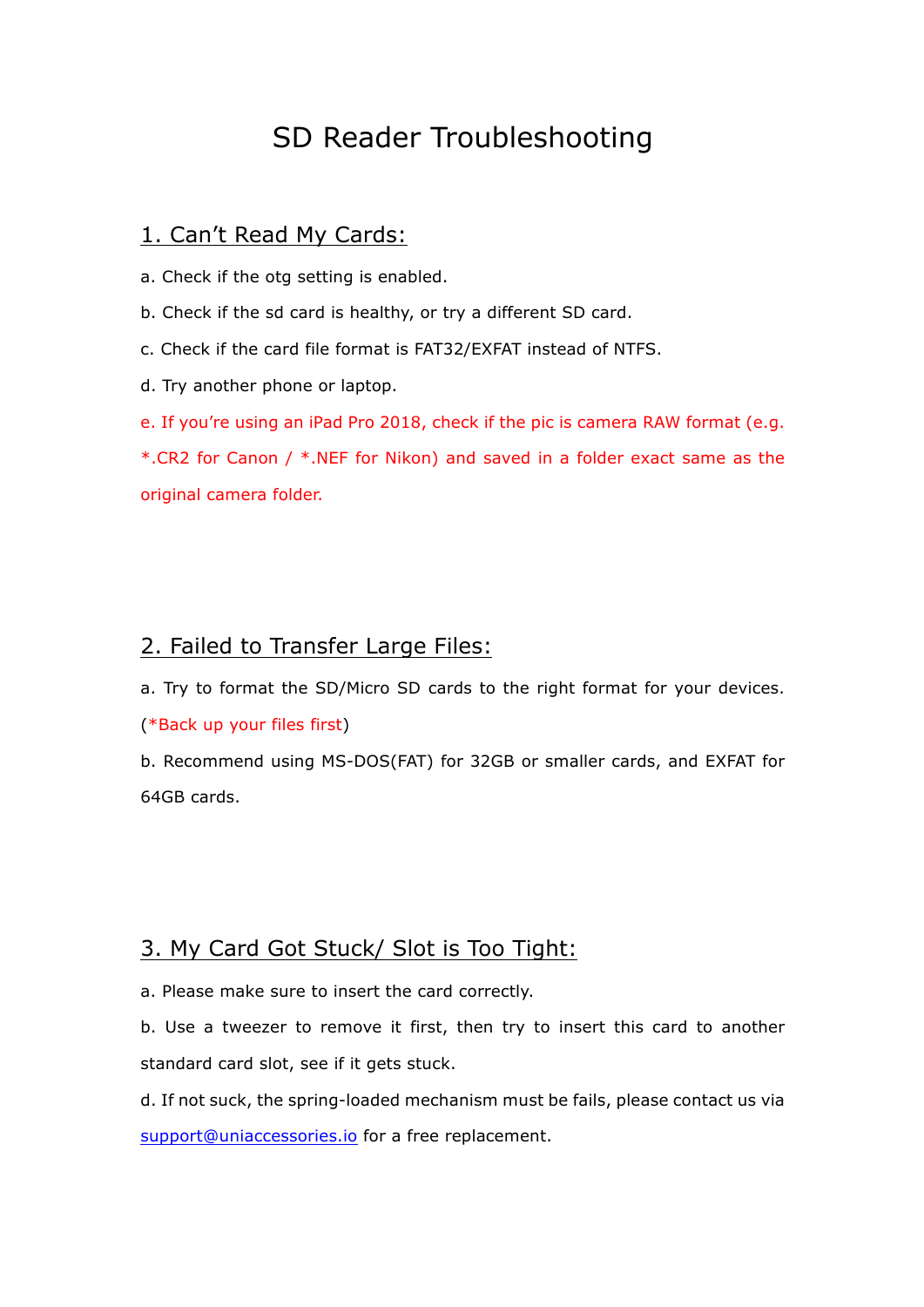# SD Reader Troubleshooting

#### 1. Can't Read My Cards:

a. Check if the otg setting is enabled.

b. Check if the sd card is healthy, or try a different SD card.

c. Check if the card file format is FAT32/EXFAT instead of NTFS.

d. Try another phone or laptop.

e. If you're using an iPad Pro 2018, check if the pic is camera RAW format (e.g.

\*.CR2 for Canon / \*.NEF for Nikon) and saved in a folder exact same as the original camera folder.

## 2. Failed to Transfer Large Files:

a. Try to format the SD/Micro SD cards to the right format for your devices. (\*Back up your files first)

b. Recommend using MS-DOS(FAT) for 32GB or smaller cards, and EXFAT for 64GB cards.

## 3. My Card Got Stuck/ Slot is Too Tight:

a. Please make sure to insert the card correctly.

b. Use a tweezer to remove it first, then try to insert this card to another standard card slot, see if it gets stuck.

d. If not suck, the spring-loaded mechanism must be fails, please contact us via support@uniaccessories.io for a free replacement.